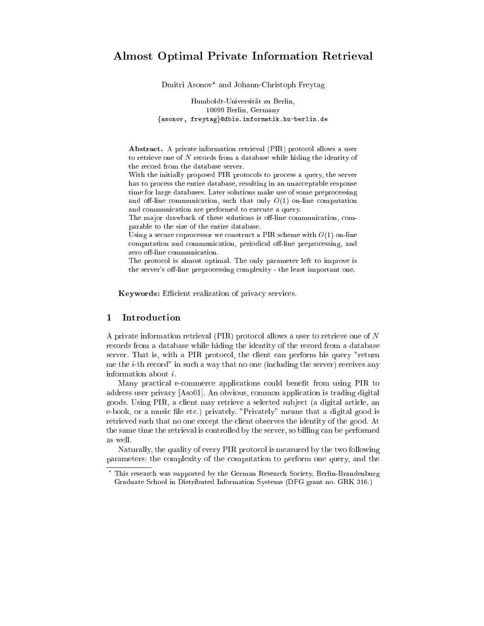# Almost Optimal Private Information Retrieval

Dmitri Asonov? and Johann-Christoph Freytag

Humboldt-Universitat zu Berlin, 10099 Berlin, Germany fasonov, freytagg@dbis.informatik.hu-berlin.de

Abstract. A private information retrieval (PIR) protocol allows a user to retrieve one of N records from a database while hiding the identity of the record from the database server.

With the initially proposed PIR protocols to process a query, the server has to process the entire database, resulting in an unacceptable response time for large databases. Later solutions make use of some preprocessing and off-line communication, such that only  $O(1)$  on-line computation and communication are performed to execute a query.

The major drawback of these solutions is off-line communication, comparable to the size of the entire database.

Using a secure coprocessor we construct a PIR scheme with  $O(1)$  on-line computation and communication, periodical off-line preprocessing, and zero off-line communication.

The protocol is almost optimal. The only parameter left to improve is the server's off-line preprocessing complexity - the least important one.

Keywords: Efficient realization of privacy services.

## 1 Introduction

A private information retrieval (PIR) protocol allows a user to retrieve one of N records from a database while hiding the identity of the record from a database server. That is, with a PIR protocol, the client can perform his query "return me the i-th record" in such a way that no one (including the server) receives any information about i.

Many practical e-commerce applications could benet from using PIR to address user privacy [Aso01]. An obvious, common application is trading digital goods. Using PIR, a client may retrieve a selected sub ject (a digital article, an e-book, or a music file etc.) privately. "Privately" means that a digital good is retrieved such that no one except the client observes the identity of the good. At the same time the retrieval is controlled by the server, so billing can be performed as well.

Naturally, the quality of every PIR protocol is measured by the two following parameters: the complexity of the computation to perform one query, and the

This research was supported by the German Research Society, Berlin-Brandenburg Graduate School in Distributed Information Systems (DFG grant no. GRK 316.)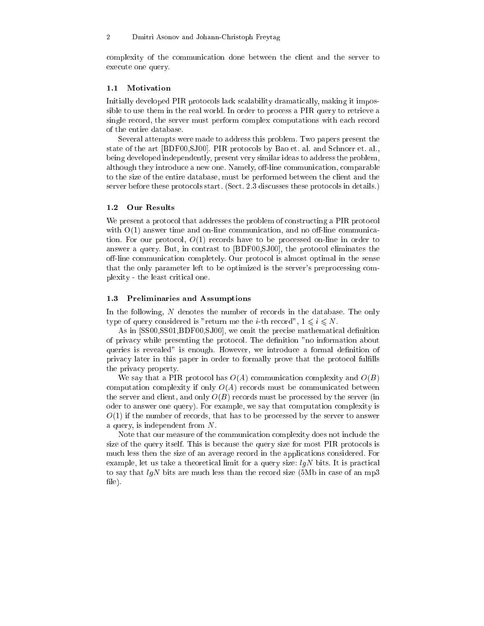complexity of the communication done between the client and the server to execute one query.

#### **Motivation**  $1.1$

Initially developed PIR protocols lack scalability dramatically, making it impossible to use them in the real world. In order to process a PIR query to retrieve a single record, the server must perform complex computations with each record of the entire database.

Several attempts were made to address this problem. Two papers present the state of the art [BDF00,SJ00]. PIR protocols by Bao et. al. and Schnorr et. al., being developed independently, present very similar ideas to address the problem, although they introduce a new one. Namely, off-line communication, comparable to the size of the entire database, must be performed between the client and the server before these protocols start. (Sect. 2.3 discusses these protocols in details.)

#### $1.2$ Our Results

We present a protocol that addresses the problem of constructing a PIR protocol with  $O(1)$  answer time and on-line communication, and no off-line communication. For our protocol,  $O(1)$  records have to be processed on-line in order to answer a query. But, in contrast to [BDF00,SJ00], the protocol eliminates the off-line communication completely. Our protocol is almost optimal in the sense that the only parameter left to be optimized is the server's preprocessing complexity - the least critical one.

#### 1.3 Preliminaries and Assumptions

In the following, N denotes the number of records in the database. The only type of query considered is "return me the *i*-th record",  $1 \leq i \leq N$ .

As in [SS00, SS01, BDF00, SJ00], we omit the precise mathematical definition of privacy while presenting the protocol. The denition "no information about queries is revealed" is enough. However, we introduce a formal definition of privacy later in this paper in order to formally prove that the protocol fullls the privacy property.

We say that a PIR protocol has  $O(A)$  communication complexity and  $O(B)$ computation complexity if only  $O(A)$  records must be communicated between the server and client, and only  $O(B)$  records must be processed by the server (in oder to answer one query). For example, we say that computation complexity is  $O(1)$  if the number of records, that has to be processed by the server to answer a query, is independent from N.

Note that our measure of the communication complexity does not include the size of the query itself. This is because the query size for most PIR protocols is much less then the size of an average record in the applications considered. For example, let us take a theoretical limit for a query size:  $lqN$  bits. It is practical to say that  $lgN$  bits are much less than the record size (5Mb in case of an mp3 file).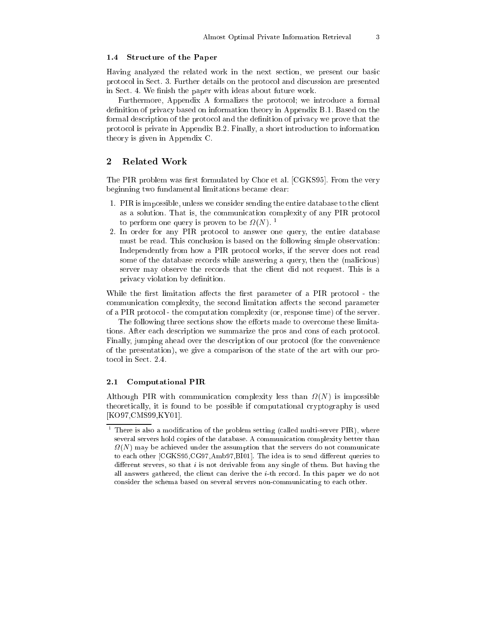#### 1.4 Structure of the Paper

Having analyzed the related work in the next section, we present our basic protocol in Sect. 3. Further details on the protocol and discussion are presented in Sect. 4. We finish the paper with ideas about future work.

Furthermore, Appendix A formalizes the protocol; we introduce a formal definition of privacy based on information theory in Appendix B.1. Based on the formal description of the protocol and the definition of privacy we prove that the protocol is private in Appendix B.2. Finally, a short introduction to information theory is given in Appendix C.

## 2 Related Work

The PIR problem was first formulated by Chor et al. [CGKS95]. From the very beginning two fundamental limitations became clear:

- 1. PIR is impossible, unless we consider sending the entire database to the client as a solution. That is, the communication complexity of any PIR protocol to perform one query is proven to be  $\frac{1}{2}(N)$ .
- 2. In order for any PIR protocol to answer one query, the entire database must be read. This conclusion is based on the following simple observation: Independently from how a PIR protocol works, if the server does not read some of the database records while answering a query, then the (malicious) server may observe the records that the client did not request. This is a privacy violation by definition.

While the first limitation affects the first parameter of a PIR protocol - the communication complexity, the second limitation affects the second parameter of a PIR protocol - the computation complexity (or, response time) of the server.

The following three sections show the efforts made to overcome these limitations. After each description we summarize the pros and cons of each protocol. Finally, jumping ahead over the description of our protocol (for the convenience of the presentation), we give a comparison of the state of the art with our pro-

## 2.1 Computational PIR

Although PIR with communication complexity less than (N) is impossible theoretically, it is found to be possible if computational cryptography is used [KO97,CMS99,KY01].

There is also a modification of the problem setting (called multi-server PIR), where several servers hold copies of the database. A communication complexity better than (N) may be achieved under the assumption that the servers do not communicate to each other  $[CGKS95, CG97, Amb97,B101]$ . The idea is to send different queries to different servers, so that  $i$  is not derivable from any single of them. But having the all answers gathered, the client can derive the  $i$ -th record. In this paper we do not consider the schema based on several servers non-communicating to each other.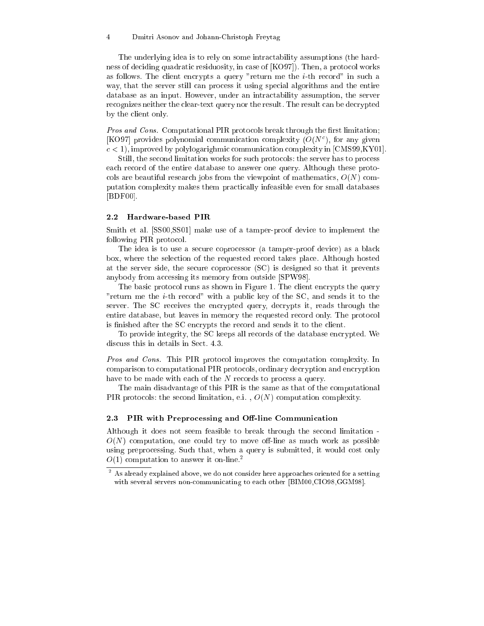#### $\overline{4}$ 4 Dmitri Asonov and Johann-Christoph Freytag

The underlying idea is to rely on some intractability assumptions (the hardness of deciding quadratic residuosity, in case of [KO97]). Then, a protocol works as follows. The client encrypts a query "return me the  $i$ -th record" in such a way, that the server still can process it using special algorithms and the entire database as an input. However, under an intractability assumption, the server recognizes neither the clear-text query nor the result. The result can be decrypted by the client only.

Pros and Cons. Computational PIR protocols break through the first limitation; [KO97] provides polynomial communication complexity  $(O(N<sup>c</sup>))$ , for any given  $c < 1$ , improved by polylogarighmic communication complexity in [CMS99,KY01].

Still, the second limitation works for such protocols: the server has to process each record of the entire database to answer one query. Although these protocols are beautiful research jobs from the viewpoint of mathematics,  $O(N)$  computation complexity makes them practically infeasible even for small databases [BDF00].

#### 2.2 Hardware-based PIR

Smith et al. [SS00,SS01] make use of a tamper-proof device to implement the following PIR protocol.

The idea is to use a secure coprocessor (a tamper-proof device) as a black box, where the selection of the requested record takes place. Although hosted at the server side, the secure coprocessor (SC) is designed so that it prevents anybody from accessing its memory from outside [SPW98].

The basic protocol runs as shown in Figure 1. The client encrypts the query "return me the i-th record" with a public key of the SC, and sends it to the server. The SC receives the encrypted query, decrypts it, reads through the entire database, but leaves in memory the requested record only. The protocol is finished after the SC encrypts the record and sends it to the client.

To provide integrity, the SC keeps all records of the database encrypted. We discuss this in details in Sect. 4.3.

Pros and Cons. This PIR protocol improves the computation complexity. In comparison to computational PIR protocols, ordinary decryption and encryption have to be made with each of the N records to process a query.

The main disadvantage of this PIR is the same as that of the computational PIR protocols: the second limitation, e.i.,  $O(N)$  computation complexity.

#### 2.3 PIR with Preprocessing and Off-line Communication

Although it does not seem feasible to break through the second limitation -  $O(N)$  computation, one could try to move off-line as much work as possible using preprocessing. Such that, when a query is submitted, it would cost only  $O(1)$  computation to answer it on-line.<sup>2</sup>

 $^\circ$  As already explained above, we do not consider here approaches oriented for a setting with several servers non-communicating to each other [BIM00,CIO98,GGM98].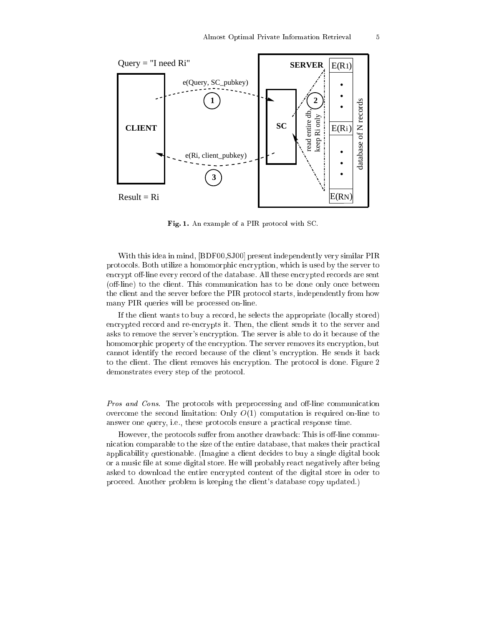

Fig. 1. An example of a PIR protocol with SC.

With this idea in mind, [BDF00,SJ00] present independently very similar PIR protocols. Both utilize a homomorphic encryption, which is used by the server to encrypt off-line every record of the database. All these encrypted records are sent (off-line) to the client. This communication has to be done only once between the client and the server before the PIR protocol starts, independently from how many PIR queries will be processed on-line.

If the client wants to buy a record, he selects the appropriate (locally stored) encrypted record and re-encrypts it. Then, the client sends it to the server and asks to remove the server's encryption. The server is able to do it because of the homomorphic property of the encryption. The server removes its encryption, but cannot identify the record because of the client's encryption. He sends it back to the client. The client removes his encryption. The protocol is done. Figure 2 demonstrates every step of the protocol.

Pros and Cons. The protocols with preprocessing and off-line communication overcome the second limitation: Only  $O(1)$  computation is required on-line to answer one query, i.e., these protocols ensure a practical response time.

However, the protocols suffer from another drawback: This is off-line communication comparable to the size of the entire database, that makes their practical applicability questionable. (Imagine a client decides to buy a single digital book or a music file at some digital store. He will probably react negatively after being asked to download the entire encrypted content of the digital store in oder to proceed. Another problem is keeping the client's database copy updated.)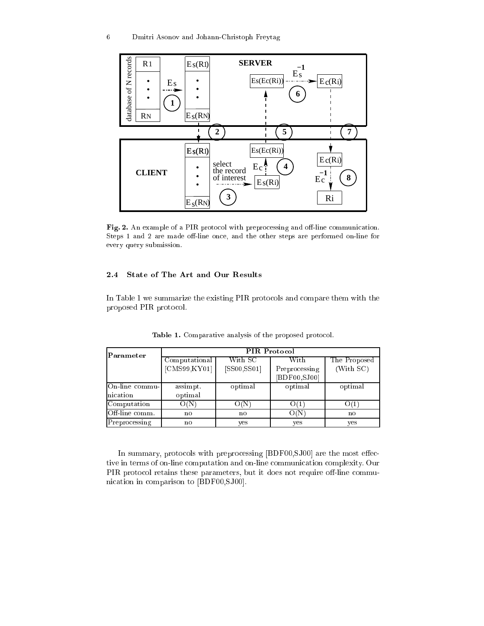

Fig. 2. An example of a PIR protocol with preprocessing and off-line communication. Steps 1 and 2 are made off-line once, and the other steps are performed on-line for every query submission.

## 2.4 State of The Art and Our Results

In Table 1 we summarize the existing PIR protocols and compare them with the proposed PIR protocol.

| Parameter       | <b>PIR Protocol</b> |              |               |              |
|-----------------|---------------------|--------------|---------------|--------------|
|                 | Computational       | With SC      | With          | The Proposed |
|                 | [CMS99, KY01]       | [SS00, SS01] | Preprocessing | (With SC)    |
|                 |                     |              | [BDF00,SJ00]  |              |
| On-line commu-  | assimpt.            | optimal      | optimal       | optimal      |
| nication        | optimal             |              |               |              |
| Computation     | O(N)                | O(N)         | O(1)          | O(1)         |
| IOff-line comm. | no                  | no           | O(N)          | no           |
| Preprocessing   | no                  | yes          | yes           | yes          |

Table 1. Comparative analysis of the proposed protocol.

In summary, protocols with preprocessing  $[BDF00,SJ00]$  are the most effective in terms of on-line computation and on-line communication complexity. Our PIR protocol retains these parameters, but it does not require off-line communication in comparison to [BDF00,SJ00].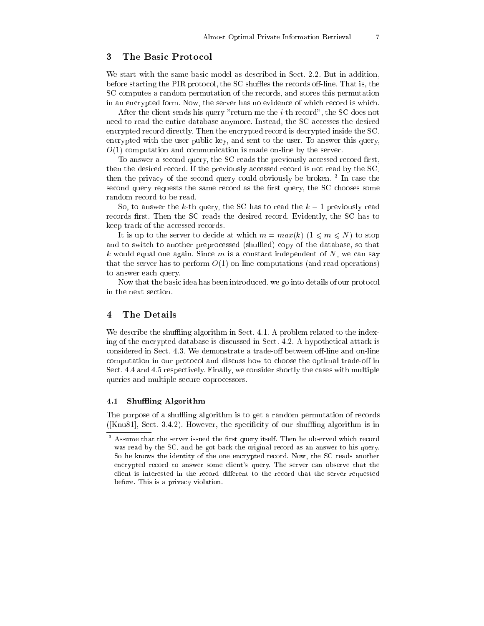## 3 The Basic Protocol

We start with the same basic model as described in Sect. 2.2. But in addition, before starting the PIR protocol, the  $SC$  shuffles the records off-line. That is, the SC computes a random permutation of the records, and stores this permutation in an encrypted form. Now, the server has no evidence of which record is which.

After the client sends his query "return me the i-th record", the SC does not need to read the entire database anymore. Instead, the SC accesses the desired encrypted record directly. Then the encrypted record is decrypted inside the SC, encrypted with the user public key, and sent to the user. To answer this query,  $O(1)$  computation and communication is made on-line by the server.

To answer a second query, the SC reads the previously accessed record first, then the desired record. If the previously accessed record is not read by the SC, then the privacy of the second query could obviously be broken. <sup>3</sup> In case the second query requests the same record as the first query, the SC chooses some random record to be read.

So, to answer the k-th query, the SC has to read the  $k-1$  previously read records first. Then the SC reads the desired record. Evidently, the SC has to keep track of the accessed records.

It is up to the server to decide at which  $m = max(k)$   $(1 \leq m \leq N)$  to stop and to switch to another preprocessed (shuffled) copy of the database, so that k would equal one again. Since m is a constant independent of  $N$ , we can say that the server has to perform  $O(1)$  on-line computations (and read operations) to answer each query.

Now that the basic idea has been introduced, we go into details of our protocol in the next section.

## 4 The Details

We describe the shuffling algorithm in Sect. 4.1. A problem related to the indexing of the encrypted database is discussed in Sect. 4.2. A hypothetical attack is considered in Sect. 4.3. We demonstrate a trade-off between off-line and on-line computation in our protocol and discuss how to choose the optimal trade-off in Sect. 4.4 and 4.5 respectively. Finally, we consider shortly the cases with multiple queries and multiple secure coprocessors.

#### 4.1 Shuffling Algorithm

The purpose of a shuffling algorithm is to get a random permutation of records  $(Knu81],$  Sect. 3.4.2). However, the specificity of our shuffling algorithm is in

Assume that the server issued the first query itself. Then he observed which record was read by the SC, and he got back the original record as an answer to his query. So he knows the identity of the one encrypted record. Now, the SC reads another encrypted record to answer some client's query. The server can observe that the client is interested in the record different to the record that the server requested before. This is a privacy violation.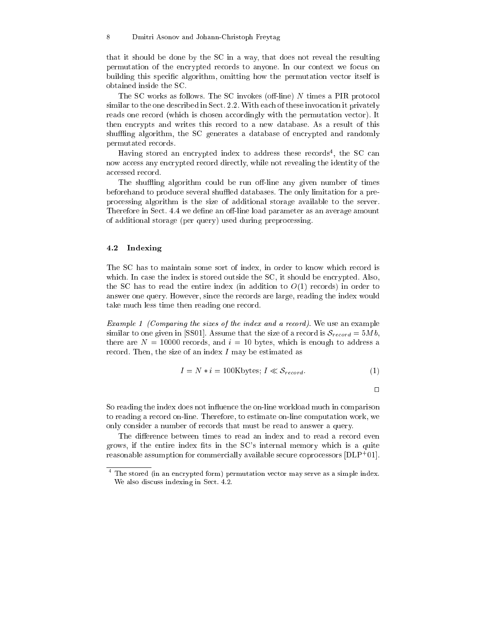that it should be done by the SC in a way, that does not reveal the resulting permutation of the encrypted records to anyone. In our context we focus on building this specic algorithm, omitting how the permutation vector itself is obtained inside the SC.

The SC works as follows. The SC invokes (off-line)  $N$  times a PIR protocol similar to the one described in Sect. 2.2. With each of these invocation it privately reads one record (which is chosen accordingly with the permutation vector). It then encrypts and writes this record to a new database. As a result of this shuffling algorithm, the SC generates a database of encrypted and randomly permutated records.

Having stored an encrypted index to address these records<sup>4</sup> , the SC can now access any encrypted record directly, while not revealing the identity of the accessed record.

The shuffling algorithm could be run off-line any given number of times beforehand to produce several shuffled databases. The only limitation for a preprocessing algorithm is the size of additional storage available to the server. Therefore in Sect. 4.4 we define an off-line load parameter as an average amount of additional storage (per query) used during preprocessing.

#### 4.2 Indexing

The SC has to maintain some sort of index, in order to know which record is which. In case the index is stored outside the SC, it should be encrypted. Also, the SC has to read the entire index (in addition to  $O(1)$  records) in order to answer one query. However, since the records are large, reading the index would take much less time then reading one record.

Example 1 (Comparing the sizes of the index and a record). We use an example similar to one given in [SS01]. Assume that the size of a record is  $S_{record} = 5Mb$ , there are  $N = 10000$  records, and  $i = 10$  bytes, which is enough to address a record. Then, the size of an index  $I$  may be estimated as

$$
I = N * i = 100
$$
Kbytes;  $I \ll S_{record}$ . (1)

$$
\Box
$$

So reading the index does not influence the on-line workload much in comparison to reading a record on-line. Therefore, to estimate on-line computation work, we only consider a number of records that must be read to answer a query.

The difference between times to read an index and to read a record even grows, if the entire index fits in the SC's internal memory which is a quite reasonable assumption for commercially available secure coprocessors [DLP<sup>+</sup> 01].

 $\overline{\phantom{a}}$ The stored (in an encrypted form) permutation vector may serve as a simple index. We also discuss indexing in Sect. 4.2.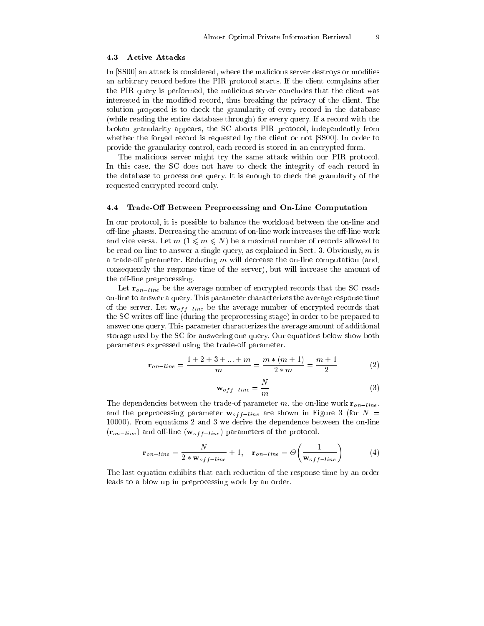#### 4.3 Active Attacks

In [SS00] an attack is considered, where the malicious server destroys or modifies an arbitrary record before the PIR protocol starts. If the client complains after the PIR query is performed, the malicious server concludes that the client was interested in the modied record, thus breaking the privacy of the client. The solution proposed is to check the granularity of every record in the database (while reading the entire database through) for every query. If a record with the broken granularity appears, the SC aborts PIR protocol, independently from whether the forged record is requested by the client or not [SS00]. In order to provide the granularity control, each record is stored in an encrypted form.

The malicious server might try the same attack within our PIR protocol. In this case, the SC does not have to check the integrity of each record in the database to process one query. It is enough to check the granularity of the requested encrypted record only.

#### 4.4 Trade-Off Between Preprocessing and On-Line Computation

In our protocol, it is possible to balance the workload between the on-line and off-line phases. Decreasing the amount of on-line work increases the off-line work and vice versa. Let  $m$  ( $1 \leq m \leq N$ ) be a maximal number of records allowed to be read on-line to answer a single query, as explained in Sect. 3. Obviously,  $m$  is a trade-off parameter. Reducing  $m$  will decrease the on-line computation (and, consequently the response time of the server), but will increase the amount of the off-line preprocessing.

Let  $\mathbf{r}_{on-line}$  be the average number of encrypted records that the SC reads on-line to answer a query. This parameter characterizes the average response time of the server. Let  $\mathbf{w}_{off-line}$  be the average number of encrypted records that the SC writes off-line (during the preprocessing stage) in order to be prepared to answer one query. This parameter characterizes the average amount of additional storage used by the SC for answering one query. Our equations below show both parameters expressed using the trade-off parameter.

$$
\mathbf{r}_{on-line} = \frac{1+2+3+\ldots+m}{m} = \frac{m*(m+1)}{2*m} = \frac{m+1}{2}
$$
 (2)

$$
\mathbf{w}_{off-line} = \frac{N}{m} \tag{3}
$$

The dependencies between the trade-of parameter m, the on-line work  $\mathbf{r}_{on-line}$ , and the preprocessing parameter  $\mathbf{w}_{off-line}$  are shown in Figure 3 (for  $N =$ 10000). From equations 2 and 3 we derive the dependence between the on-line  $(r_{on-line})$  and off-line  $(\mathbf{w}_{off-line})$  parameters of the protocol.

$$
\mathbf{r}_{on-line} = \frac{N}{2 * \mathbf{w}_{off-line}} + 1, \quad \mathbf{r}_{on-line} = \Theta\left(\frac{1}{\mathbf{w}_{off-line}}\right) \tag{4}
$$

The last equation exhibits that each reduction of the response time by an order leads to a blow up in preprocessing work by an order.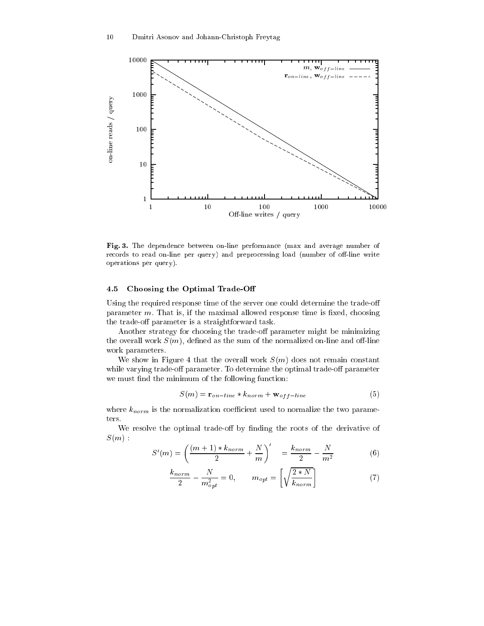

Fig. 3. The dependence between on-line performance (max and average number of records to read on-line per query) and preprocessing load (number of off-line write operations per query).

#### 4.5 Choosing the Optimal Trade-O

Using the required response time of the server one could determine the trade-o parameter  $m$ . That is, if the maximal allowed response time is fixed, choosing the trade-off parameter is a straightforward task.

Another strategy for choosing the trade-off parameter might be minimizing the overall work  $S(m)$ , defined as the sum of the normalized on-line and off-line work parameters.

We show in Figure 4 that the overall work  $S(m)$  does not remain constant while varying trade-off parameter. To determine the optimal trade-off parameter we must find the minimum of the following function:

$$
S(m) = \mathbf{r}_{on-line} * k_{norm} + \mathbf{w}_{off-line}
$$
 (5)

where  $k_{norm}$  is the normalization coefficient used to normalize the two parameters.

We resolve the optimal trade-off by finding the roots of the derivative of  $S(m)$ :

$$
S'(m) = \left(\frac{(m+1) * k_{norm}}{2} + \frac{N}{m}\right)' = \frac{k_{norm}}{2} - \frac{N}{m^2}
$$
 (6)

$$
\frac{k_{norm}}{2} - \frac{N}{m_{opt}^2} = 0, \qquad m_{opt} = \left[ \sqrt{\frac{2*N}{k_{norm}}} \right]
$$
 (7)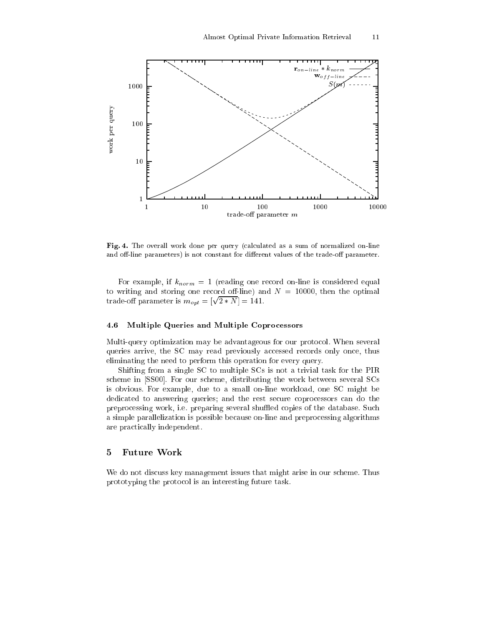

Fig. 4. The overall work done per query (calculated as a sum of normalized on-line and off-line parameters) is not constant for different values of the trade-off parameter.

For example, if  $k_{norm} = 1$  (reading one record on-line is considered equal to writing and storing one record off-line) and  $N = 10000$ , then the optimal trade-off parameter is  $m_{opt} = [\sqrt{\frac{m_{opt}}{n}}]$ - 141.

#### 4.6 Multiple Queries and Multiple Coprocessors

Multi-query optimization may be advantageous for our protocol. When several queries arrive, the SC may read previously accessed records only once, thus eliminating the need to perform this operation for every query.

Shifting from a single SC to multiple SCs is not a trivial task for the PIR scheme in [SS00]. For our scheme, distributing the work between several SCs is obvious. For example, due to a small on-line workload, one SC might be dedicated to answering queries; and the rest secure coprocessors can do the preprocessing work, i.e. preparing several shuffled copies of the database. Such a simple parallelization is possible because on-line and preprocessing algorithms are practically independent.

## 5 Future Work

We do not discuss key management issues that might arise in our scheme. Thus prototyping the protocol is an interesting future task.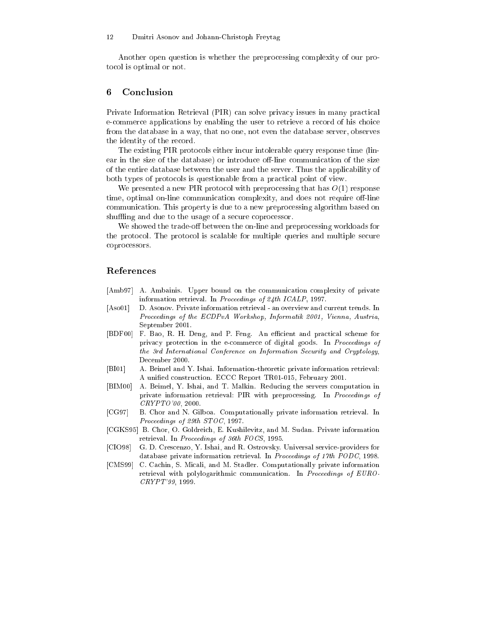Another open question is whether the preprocessing complexity of our protocol is optimal or not.

## 6 Conclusion

Private Information Retrieval (PIR) can solve privacy issues in many practical e-commerce applications by enabling the user to retrieve a record of his choice from the database in a way, that no one, not even the database server, observes the identity of the record.

The existing PIR protocols either incur intolerable query response time (linear in the size of the database) or introduce off-line communication of the size of the entire database between the user and the server. Thus the applicability of both types of protocols is questionable from a practical point of view.

We presented a new PIR protocol with preprocessing that has  $O(1)$  response time, optimal on-line communication complexity, and does not require off-line communication. This property is due to a new preprocessing algorithm based on shuffling and due to the usage of a secure coprocessor.

We showed the trade-off between the on-line and preprocessing workloads for the protocol. The protocol is scalable for multiple queries and multiple secure coprocessors.

## References

- [Amb97] A. Ambainis. Upper bound on the communication complexity of private information retrieval. In Proceedings of 24th ICALP, 1997.
- [Aso01] D. Asonov. Private information retrieval an overview and current trends. In Proceedings of the ECDPvA Workshop, Informatik 2001, Vienna, Austria, September 2001.
- [BDF00] F. Bao, R. H. Deng, and P. Feng. An efficient and practical scheme for privacy protection in the e-commerce of digital goods. In Proceedings of the 3rd International Conference on Information Security and Cryptology, December 2000.
- [BI01] A. Beimel and Y. Ishai. Information-theoretic private information retrieval: A unied construction. ECCC Report TR01-015, February 2001.
- [BIM00] A. Beimel, Y. Ishai, and T. Malkin. Reducing the servers computation in private information retrieval: PIR with preprocessing. In Proceedings of CRYPTO'00, 2000.
- [CG97] B. Chor and N. Gilboa. Computationally private information retrieval. In Proceedings of 29th STOC, 1997.
- [CGKS95] B. Chor, O. Goldreich, E. Kushilevitz, and M. Sudan. Private information retrieval. In Proceedings of 36th FOCS, 1995.
- [CIO98] G. D. Crescenzo, Y. Ishai, and R. Ostrovsky. Universal service-providers for database private information retrieval. In Proceedings of 17th PODC, 1998.
- [CMS99] C. Cachin, S. Micali, and M. Stadler. Computationally private information retrieval with polylogarithmic communication. In Proceedings of EURO-CRYPT'99, 1999.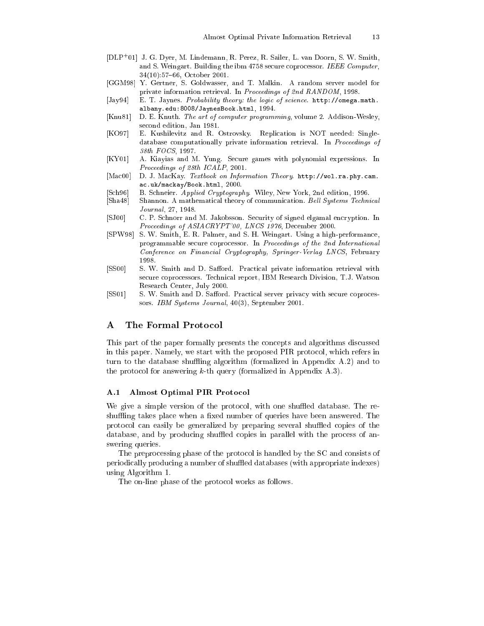- [DLP+ 01] J. G. Dyer, M. Lindemann, R. Perez, R. Sailer, L. van Doorn, S. W. Smith, and S. Weingart. Building the ibm 4758 secure coprocessor. IEEE Computer, 34(10):57-66, October 2001.
- [GGM98] Y. Gertner, S. Goldwasser, and T. Malkin. A random server model for private information retrieval. In Proceedings of 2nd RANDOM, 1998.
- [Jay94] E. T. Jaynes. Probability theory: the logic of science. http://omega.math. albany.edu:8008/JaynesBook.html, 1994.
- [Knu81] D. E. Knuth. The art of computer programming, volume 2. Addison-Wesley, second edition, Jan 1981.
- [KO97] E. Kushilevitz and R. Ostrovsky. Replication is NOT needed: Singledatabase computationally private information retrieval. In Proceedings of 38th FOCS, 1997.
- [KY01] A. Kiayias and M. Yung. Secure games with polynomial expressions. In Proceedings of 28th ICALP, 2001.
- [Mac00] D. J. MacKay. Textbook on Information Theory. http://wol.ra.phy.cam. ac.uk/mackay/Book.html, 2000.
- [Sch96] B. Schneier. Applied Cryptography. Wiley, New York, 2nd edition, 1996.
- [Sha48] Shannon. A mathematical theory of communication. Bell Systems Technical Journal, 27, 1948.
- [SJ00] C. P. Schnorr and M. Jakobsson. Security of signed elgamal encryption. In Proceedings of ASIACRYPT'00, LNCS 1976, December 2000.
- [SPW98] S. W. Smith, E. R. Palmer, and S. H. Weingart. Using a high-performance, programmable secure coprocessor. In Proceedings of the 2nd International Conference on Financial Cryptography, Springer-Verlag LNCS, February 1998.
- [SS00] S. W. Smith and D. Safford. Practical private information retrieval with secure coprocessors. Technical report, IBM Research Division, T.J. Watson Research Center, July 2000.
- [SS01] S. W. Smith and D. Safford. Practical server privacy with secure coprocessors. IBM Systems Journal, 40(3), September 2001.

## A The Formal Protocol

This part of the paper formally presents the concepts and algorithms discussed in this paper. Namely, we start with the proposed PIR protocol, which refers in turn to the database shuffling algorithm (formalized in Appendix  $A.2$ ) and to the protocol for answering  $k$ -th query (formalized in Appendix A.3).

#### A.1 Almost Optimal PIR Protocol

We give a simple version of the protocol, with one shuffled database. The reshuffling takes place when a fixed number of queries have been answered. The protocol can easily be generalized by preparing several shuffled copies of the database, and by producing shuffled copies in parallel with the process of answering queries.

The preprocessing phase of the protocol is handled by the SC and consists of periodically producing a number of shuffled databases (with appropriate indexes) using Algorithm 1.

The on-line phase of the protocol works as follows.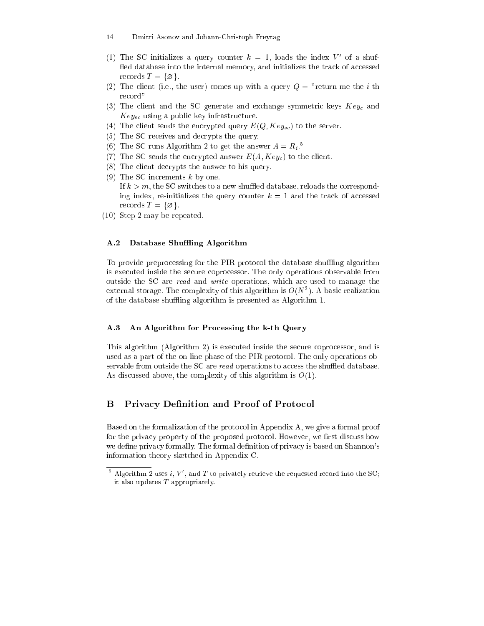- 14 Dmitri Asonov and Johann-Christoph Freytag
- (1) The SC initializes a query counter  $\kappa = 1$ , loads the index  $V$  of a shuifled database into the internal memory, and initializes the track of accessed records  $T = \{\emptyset\}.$
- (2) The client (i.e., the user) comes up with a query  $Q =$  "return me the *i*-th record"
- (3) The client and the SC generate and exchange symmetric keys  $Key_c$  and  $Key_{sc}$  using a public key infrastructure.
- (4) The client sends the encrypted query  $E(Q, Key_{sc})$  to the server.
- (5) The SC receives and decrypts the query.
- (6) I he SC runs Algorithm 2 to get the answer  $A = R_i$ .
- (7) The SC sends the encrypted answer  $E(A, Key<sub>c</sub>)$  to the client.
- (8) The client decrypts the answer to his query.
- (9) The SC increments  $k$  by one. If  $k > m$ , the SC switches to a new shuffled database, reloads the corresponding index, re-initializes the query counter  $k = 1$  and the track of accessed records  $T = \{\emptyset\}.$
- (10) Step 2 may be repeated.

### A.2 Database Shuffling Algorithm

To provide preprocessing for the PIR protocol the database shuffling algorithm is executed inside the secure coprocessor. The only operations observable from outside the SC are read and write operations, which are used to manage the external storage. I ne complexity of this algorithm is  $O(N^+)$ . A basic realization of the database shuffling algorithm is presented as Algorithm 1.

### A.3 An Algorithm for Processing the k-th Query

This algorithm (Algorithm 2) is executed inside the secure coprocessor, and is used as a part of the on-line phase of the PIR protocol. The only operations observable from outside the SC are read operations to access the shuffled database. As discussed above, the complexity of this algorithm is  $O(1)$ .

## B Privacy Definition and Proof of Protocol

Based on the formalization of the protocol in Appendix A, we give a formal proof for the privacy property of the proposed protocol. However, we first discuss how we define privacy formally. The formal definition of privacy is based on Shannon's information theory sketched in Appendix C.

The requested record into the set  $i, \, \nu$  , and T to privately retrieve the requested record into the SC; it also updates  $T$  appropriately.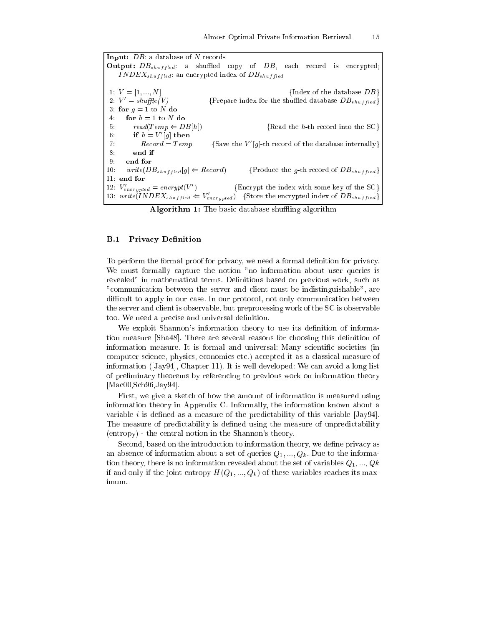Input: DB: a database of N records **Output:**  $DB_{shuffled}$ : a shuffled copy of  $DB$ , each record is encrypted;  $INDEX_{shuffled}$ : an encrypted index of  $DB_{shuffled}$ 1:  $V = [1, ..., N]$  {Index of the database  $DB$ } 2:  $V' = shuffle(V)$ {Prepare index for the shuffled database  $DB_{shuffled}$ } 3: for  $g = 1$  to N do  $4:$ for  $h = 1$  to N do 5:  $read(Temp \Leftarrow DB[h])$  {Read the h-th record into the SC}  $\mathfrak{v}: \qquad \mathfrak{u} \mathfrak{n} = V \ |g| \ \mathfrak{u} \mathfrak{n}$ en 7:  $Record = Temp$ {Save the  $V'[g]$ -th record of the database internally} 8: end if 9: end for 10:  $write(DB_{shuffled}[g] \Leftarrow Record)$  {Produce the g-th record of  $DB_{shuffled}$ } 11: end for  ${Energy the index with some key of the SC}$ 12:  $V_{encrunted} = \text{energy}p$ t(V 13: write(INDE $\Lambda_{shuffled} \Leftarrow V_{encrunted}$ ) {Store the encrypted index of  $DB_{shuffled}$ }

Algorithm 1: The basic database shuffling algorithm

#### **B.1 Privacy Definition**

To perform the formal proof for privacy, we need a formal definition for privacy. We must formally capture the notion "no information about user queries is revealed" in mathematical terms. Definitions based on previous work, such as "communication between the server and client must be indistinguishable", are difficult to apply in our case. In our protocol, not only communication between the server and client is observable, but preprocessing work of the SC is observable too. We need a precise and universal definition.

We exploit Shannon's information theory to use its definition of information measure [Sha48]. There are several reasons for choosing this definition of information measure. It is formal and universal: Many scientific societies (in computer science, physics, economics etc.) accepted it as a classical measure of information ( $[Ja\nu94]$ , Chapter 11). It is well developed: We can avoid a long list of preliminary theorems by referencing to previous work on information theory [Mac00,Sch96,Jay94].

First, we give a sketch of how the amount of information is measured using information theory in Appendix C. Informally, the information known about a variable i is defined as a measure of the predictability of this variable  $[Jay94]$ . The measure of predictability is defined using the measure of unpredictability (entropy) - the central notion in the Shannon's theory.

Second, based on the introduction to information theory, we define privacy as an absence of information about a set of queries  $Q_1, ..., Q_k$ . Due to the information theory, there is no information revealed about the set of variables  $Q_1, ..., Q_k$ if and only if the joint entropy  $H(Q_1, ..., Q_k)$  of these variables reaches its maximum.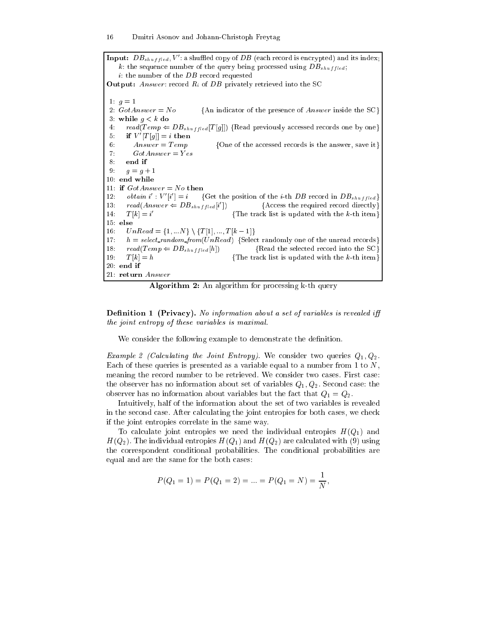**Input:**  $DB_{shuffled}, V$  : a shumed copy of  $DB$  (each record is encrypted) and its index; k: the sequence number of the query being processed using  $DB_{shuffled}$ ; i: the number of the DB record requested **Output:** Answer: record  $R_i$  of DB privately retrieved into the SC 1:  $g = 1$ 2:  $GotAnswer = No$  {An indicator of the presence of Answer inside the SC} 3: while  $q < k$  do 4:  $read(Temp \leftarrow DB_{shuffled}[T[g]])$  {Read previously accessed records one by one}  $5:$  if  $V$   $|T|q|$  = ithen 6: Answer = Temp  $\{One\ of\ the\ accessed\ records\ is\ the\ answer,\ save\ it\}$ 7:  $GotAnswer = Yes$ 8: end if 9:  $g = g + 1$ 10: end while 11: if  $GotAnswer = No$  then 12.  $\textit{obtain } i : V | i$ {Get the position of the *i*-th DB record in  $DB_{shuffled}$ } 13: read(Answer  $\Leftarrow$   $DB_{shuffled}$  ${$ Access the required record directly $}$ 14:  $I[k] = i$ {The track list is updated with the  $k$ -th item} 15: else 16:  $UnRead = \{1, ...N\} \setminus \{T[1], ..., T[k-1]\}$ 17:  $h = select\_random\_from(UnRead)$  {Select randomly one of the unread records} 18:  $read(Temp \Leftarrow DB_{shuffled}[h])$  {Read the selected record into the SC} 19:  $T[k] = h$  {The track list is updated with the k-th item} 20: end if 21: return Answer

Algorithm 2: An algorithm for processing k-th query

**Definition 1 (Privacy).** No information about a set of variables is revealed iff the joint entropy of these variables is maximal.

We consider the following example to demonstrate the definition.

Example 2 (Calculating the Joint Entropy). We consider two queries  $Q_1, Q_2$ . Each of these queries is presented as a variable equal to a number from 1 to  $N$ , meaning the record number to be retrieved. We consider two cases. First case: the observer has no information about set of variables  $Q_1, Q_2$ . Second case: the observer has no information about variables but the fact that  $Q_1 = Q_2$ .

Intuitively, half of the information about the set of two variables is revealed in the second case. After calculating the joint entropies for both cases, we check if the joint entropies correlate in the same way.

To calculate joint entropies we need the individual entropies  $H(Q_1)$  and  $H(Q_2)$ . The individual entropies  $H(Q_1)$  and  $H(Q_2)$  are calculated with (9) using the correspondent conditional probabilities. The conditional probabilities are equal and are the same for the both cases:

$$
P(Q_1 = 1) = P(Q_1 = 2) = \dots = P(Q_1 = N) = \frac{1}{N},
$$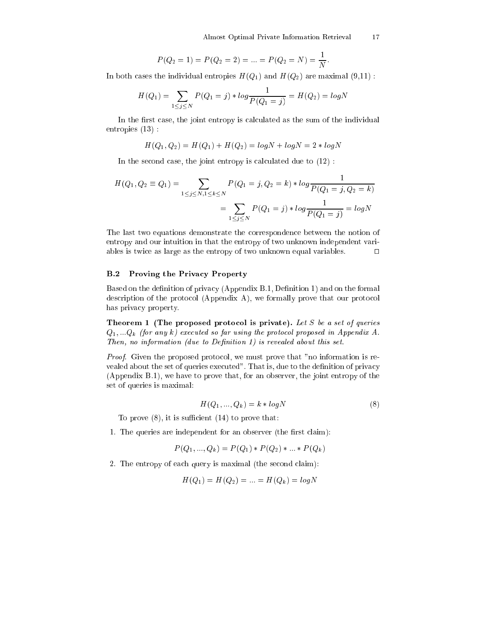$$
P(Q_2 = 1) = P(Q_2 = 2) = \dots = P(Q_2 = N) = \frac{1}{N}
$$

In both cases the individual entropies  $H(Q_1)$  and  $H(Q_2)$  are maximal  $(9,11)$ :

$$
H(Q_1) = \sum_{1 \le j \le N} P(Q_1 = j) * log \frac{1}{P(Q_1 = j)} = H(Q_2) = log N
$$

In the first case, the joint entropy is calculated as the sum of the individual entropies (13) :

$$
H(Q_1, Q_2) = H(Q_1) + H(Q_2) = log N + log N = 2 * log N
$$

In the second case, the joint entropy is calculated due to (12) :

$$
H(Q_1, Q_2 \equiv Q_1) = \sum_{1 \le j \le N, 1 \le k \le N} P(Q_1 = j, Q_2 = k) * log \frac{1}{P(Q_1 = j, Q_2 = k)}
$$
  
= 
$$
\sum_{1 \le j \le N} P(Q_1 = j) * log \frac{1}{P(Q_1 = j)} = log N
$$

The last two equations demonstrate the correspondence between the notion of entropy and our intuition in that the entropy of two unknown independent variables is twice as large as the entropy of two unknown equal variables.  $\Box$ 

## B.2 Proving the Privacy Property

Based on the definition of privacy (Appendix B.1, Definition 1) and on the formal description of the protocol (Appendix A), we formally prove that our protocol has privacy property.

Theorem 1 (The proposed protocol is private). Let  $S$  be a set of queries  $Q_1, \ldots Q_k$  (for any k) executed so far using the protocol proposed in Appendix A. Then, no information (due to Definition 1) is revealed about this set.

Proof. Given the proposed protocol, we must prove that "no information is revealed about the set of queries executed". That is, due to the definition of privacy (Appendix B.1), we have to prove that, for an observer, the joint entropy of the set of queries is maximal:

$$
H(Q_1, ..., Q_k) = k * logN
$$
\n<sup>(8)</sup>

To prove  $(8)$ , it is sufficient  $(14)$  to prove that:

1. The queries are independent for an observer (the first claim):

$$
P(Q_1, ..., Q_k) = P(Q_1) * P(Q_2) * ... * P(Q_k)
$$

2. The entropy of each query is maximal (the second claim):

$$
H(Q_1) = H(Q_2) = \ldots = H(Q_k) = \log N
$$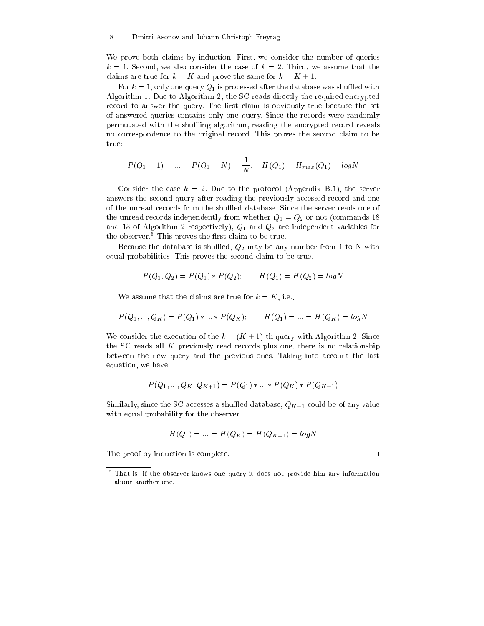We prove both claims by induction. First, we consider the number of queries  $k = 1$ . Second, we also consider the case of  $k = 2$ . Third, we assume that the claims are true for  $k = K$  and prove the same for  $k = K + 1$ .

For  $k = 1$ , only one query  $Q_1$  is processed after the database was shuffled with Algorithm 1. Due to Algorithm 2, the SC reads directly the required encrypted record to answer the query. The first claim is obviously true because the set of answered queries contains only one query. Since the records were randomly permutated with the shuffling algorithm, reading the encrypted record reveals no correspondence to the original record. This proves the second claim to be true:

$$
P(Q_1 = 1) = ... = P(Q_1 = N) = \frac{1}{N}, \quad H(Q_1) = H_{max}(Q_1) = logN
$$

Consider the case  $k = 2$ . Due to the protocol (Appendix B.1), the server answers the second query after reading the previously accessed record and one of the unread records from the shuffled database. Since the server reads one of the unread records independently from whether  $Q_1 = Q_2$  or not (commands 18) and 13 of Algorithm 2 respectively),  $Q_1$  and  $Q_2$  are independent variables for the observer. This proves the lifst claim to be true.

Because the database is shuffled,  $Q_2$  may be any number from 1 to N with equal probabilities. This proves the second claim to be true.

$$
P(Q_1, Q_2) = P(Q_1) * P(Q_2); \qquad H(Q_1) = H(Q_2) = \log N
$$

We assume that the claims are true for  $k = K$ , i.e.,

$$
P(Q_1,...,Q_K)=P(Q_1)*...*P(Q_K); \qquad H(Q_1)=...=H(Q_K)=log N
$$

We consider the execution of the  $k = (K + 1)$ -th query with Algorithm 2. Since the SC reads all K previously read records plus one, there is no relationship between the new query and the previous ones. Taking into account the last equation, we have:

$$
P(Q_1, ..., Q_K, Q_{K+1}) = P(Q_1) * ... * P(Q_K) * P(Q_{K+1})
$$

Similarly, since the SC accesses a shuffled database,  $Q_{K+1}$  could be of any value with equal probability for the observer.

$$
H(Q_1) = \dots = H(Q_K) = H(Q_{K+1}) = \log N
$$

The proof by induction is complete.  $\Box$ 

<sup>6</sup> That is, if the observer knows one query it does not provide him any information about another one.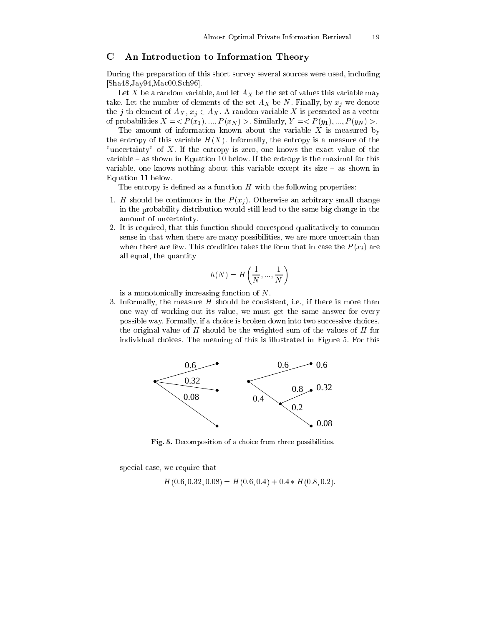## C An Introduction to Information Theory

During the preparation of this short survey several sources were used, including [Sha48,Jay94,Mac00,Sch96].

Let X be a random variable, and let  $A_X$  be the set of values this variable may take. Let the number of elements of the set  $A_X$  be N. Finally, by  $x_j$  we denote the j-th element of  $A_X, x_j \in A_X$ . A random variable X is presented as a vector of probabilities  $X = \langle P(x_1),..., P(x_N) \rangle$ . Similarly,  $Y = \langle P(y_1),..., P(y_N) \rangle$ .

The amount of information known about the variable  $X$  is measured by the entropy of this variable  $H(X)$ . Informally, the entropy is a measure of the "uncertainty" of X. If the entropy is zero, one knows the exact value of the variable  $-$  as shown in Equation 10 below. If the entropy is the maximal for this variable, one knows nothing about this variable except its size  $-$  as shown in Equation 11 below.

The entropy is defined as a function  $H$  with the following properties:

- 1. H should be continuous in the  $P(x_i)$ . Otherwise an arbitrary small change in the probability distribution would still lead to the same big change in the amount of uncertainty.
- 2. It is required, that this function should correspond qualitatively to common sense in that when there are many possibilities, we are more uncertain than when there are few. This condition takes the form that in case the  $P(x_i)$  are all equal, the quantity

$$
h(N) = H\left(\frac{1}{N}, \dots, \frac{1}{N}\right)
$$

is a monotonically increasing function of N.

3. Informally, the measure  $H$  should be consistent, i.e., if there is more than one way of working out its value, we must get the same answer for every possible way. Formally, if a choice is broken down into two successive choices, the original value of  $H$  should be the weighted sum of the values of  $H$  for individual choices. The meaning of this is illustrated in Figure 5. For this



Fig. 5. Decomposition of a choice from three possibilities.

special case, we require that

 $H(0.6, 0.32, 0.08) = H(0.6, 0.4) + 0.4 * H(0.8, 0.2).$